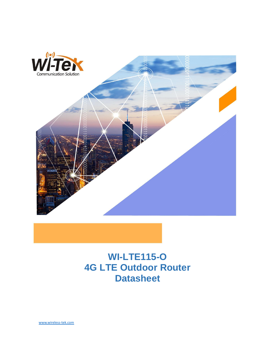

## **WI-LTE115-O 4G LTE Outdoor Router Datasheet**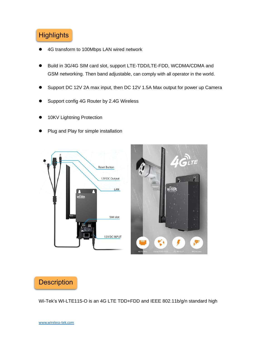### **Highlights**

- 4G transform to 100Mbps LAN wired network
- ⚫ Build in 3G/4G SIM card slot, support LTE-TDD/LTE-FDD, WCDMA/CDMA and GSM networking. Then band adjustable, can comply with all operator in the world.
- ⚫ Support DC 12V 2A max input, then DC 12V 1.5A Max output for power up Camera
- ⚫ Support config 4G Router by 2.4G Wireless
- 10KV Lightning Protection
- ⚫ Plug and Play for simple installation



#### **Description**

Wi-Tek's WI-LTE115-O is an 4G LTE TDD+FDD and IEEE 802.11b/g/n standard high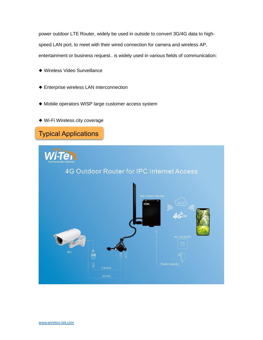power outdoor LTE Router, widely be used in outside to convert 3G/4G data to highspeed LAN port, to meet with their wired connection for camera and wireless AP, entertainment or business request.. is widely used in various fields of communication:

- ◆ Wireless Video Surveillance
- ◆ Enterprise wireless LAN interconnection
- ◆ Mobile operators WISP large customer access system
- ◆ Wi-Fi Wireless city coverage

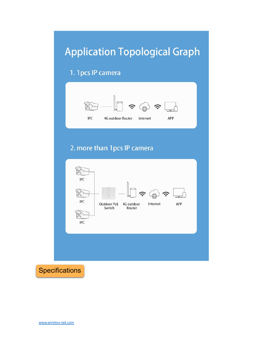# **Application Topological Graph**

### 1. 1 pcs IP camera



### 2. more than 1pcs IP camera



**Specifications**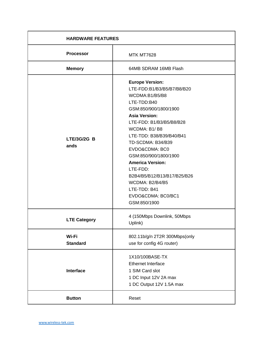| <b>HARDWARE FEATURES</b> |                                                                                                                                                                                                                                                                                                                                                                                                                               |
|--------------------------|-------------------------------------------------------------------------------------------------------------------------------------------------------------------------------------------------------------------------------------------------------------------------------------------------------------------------------------------------------------------------------------------------------------------------------|
| <b>Processor</b>         | <b>MTK MT7628</b>                                                                                                                                                                                                                                                                                                                                                                                                             |
| <b>Memory</b>            | 64MB SDRAM 16MB Flash                                                                                                                                                                                                                                                                                                                                                                                                         |
| LTE/3G/2G B<br>ands      | <b>Europe Version:</b><br>LTE-FDD:B1/B3/B5/B7/B8/B20<br>WCDMA:B1/B5/B8<br>LTE-TDD:B40<br>GSM:850/900/1800/1900<br><b>Asia Version:</b><br>LTE-FDD: B1/B3/B5/B8/B28<br>WCDMA: B1/B8<br>LTE-TDD: B38/B39/B40/B41<br>TD-SCDMA: B34/B39<br>EVDO&CDMA: BC0<br>GSM:850/900/1800/1900<br><b>America Version:</b><br>LTE-FDD:<br>B2B4/B5/B12/B13/B17/B25/B26<br>WCDMA: B2/B4/B5<br>LTE-TDD: B41<br>EVDO&CDMA: BC0/BC1<br>GSM:850/1900 |
| <b>LTE Category</b>      | 4 (150Mbps Downlink, 50Mbps<br>Uplink)                                                                                                                                                                                                                                                                                                                                                                                        |
| Wi-Fi<br><b>Standard</b> | 802.11b/g/n 2T2R 300Mbps(only<br>use for config 4G router)                                                                                                                                                                                                                                                                                                                                                                    |
| <b>Interface</b>         | 1X10/100BASE-TX<br><b>Ethernet Interface</b><br>1 SIM Card slot<br>1 DC Input 12V 2A max<br>1 DC Output 12V 1.5A max                                                                                                                                                                                                                                                                                                          |
| <b>Button</b>            | Reset                                                                                                                                                                                                                                                                                                                                                                                                                         |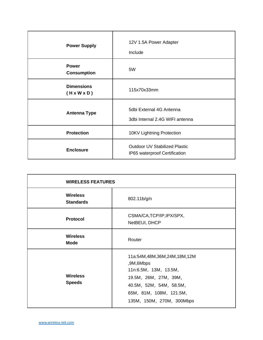| <b>Power Supply</b>                          | 12V 1.5A Power Adapter<br>Include                                     |
|----------------------------------------------|-----------------------------------------------------------------------|
| <b>Power</b><br><b>Consumption</b>           | 5W                                                                    |
| <b>Dimensions</b><br>$(H \times W \times D)$ | 115x70x33mm                                                           |
| <b>Antenna Type</b>                          | 5dbi External 4G Antenna<br>3dbi Internal 2.4G WIFI antenna           |
| <b>Protection</b>                            | 10KV Lightning Protection                                             |
| <b>Enclosure</b>                             | <b>Outdoor UV Stabilized Plastic</b><br>IP65 waterproof Certification |

| <b>WIRELESS FEATURES</b>            |                                                                                                                                                                               |
|-------------------------------------|-------------------------------------------------------------------------------------------------------------------------------------------------------------------------------|
| <b>Wireless</b><br><b>Standards</b> | 802.11b/g/n                                                                                                                                                                   |
| Protocol                            | CSMA/CA, TCP/IP, IPX/SPX,<br>NetBEUI, DHCP                                                                                                                                    |
| <b>Wireless</b><br><b>Mode</b>      | Router                                                                                                                                                                        |
| <b>Wireless</b><br><b>Speeds</b>    | 11a:54M,48M,36M,24M,18M,12M<br>,9M,6Mbps<br>11n:6.5M, 13M, 13.5M,<br>19.5M, 26M, 27M, 39M,<br>40.5M, 52M, 54M, 58.5M,<br>65M, 81M, 108M, 121.5M,<br>135M, 150M, 270M, 300Mbps |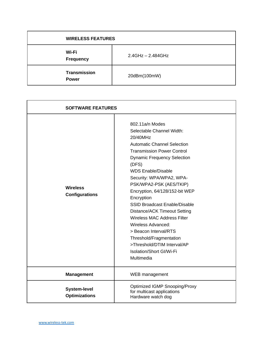| <b>WIRELESS FEATURES</b>            |                      |
|-------------------------------------|----------------------|
| Wi-Fi<br><b>Frequency</b>           | $2.4$ GHz – 2.484GHz |
| <b>Transmission</b><br><b>Power</b> | 20dBm(100mW)         |

| <b>SOFTWARE FEATURES</b>                    |                                                                                                                                                                                                                                                                                                                                                                                                                                                                                                                                                                                                |
|---------------------------------------------|------------------------------------------------------------------------------------------------------------------------------------------------------------------------------------------------------------------------------------------------------------------------------------------------------------------------------------------------------------------------------------------------------------------------------------------------------------------------------------------------------------------------------------------------------------------------------------------------|
| <b>Wireless</b><br><b>Configurations</b>    | 802.11a/n Modes<br>Selectable Channel Width:<br>20/40MHz<br><b>Automatic Channel Selection</b><br><b>Transmission Power Control</b><br><b>Dynamic Frequency Selection</b><br>(DFS)<br><b>WDS Enable/Disable</b><br>Security: WPA/WPA2, WPA-<br>PSK/WPA2-PSK (AES/TKIP)<br>Encryption, 64/128/152-bit WEP<br>Encryption<br><b>SSID Broadcast Enable/Disable</b><br><b>Distance/ACK Timeout Setting</b><br><b>Wireless MAC Address Filter</b><br>Wireless Advanced:<br>> Beacon Interval/RTS<br>Threshold/Fragmentation<br>>Threshold/DTIM Interval/AP<br>Isolation/Short GI/Wi-Fi<br>Multimedia |
| <b>Management</b>                           | WEB management                                                                                                                                                                                                                                                                                                                                                                                                                                                                                                                                                                                 |
| <b>System-level</b><br><b>Optimizations</b> | Optimized IGMP Snooping/Proxy<br>for multicast applications<br>Hardware watch dog                                                                                                                                                                                                                                                                                                                                                                                                                                                                                                              |